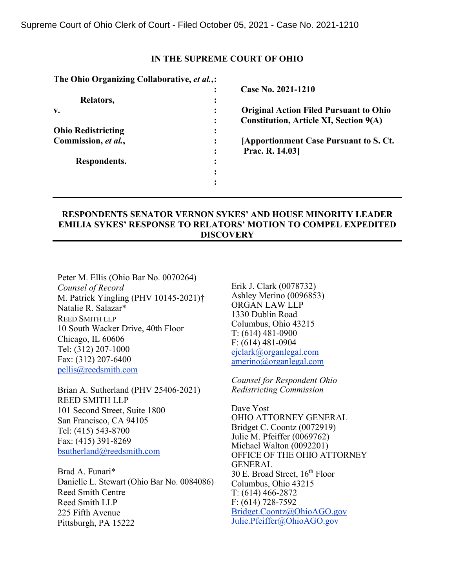## **IN THE SUPREME COURT OF OHIO**

| The Ohio Organizing Collaborative, et al.,: |                                                 |
|---------------------------------------------|-------------------------------------------------|
|                                             | Case No. 2021-1210                              |
| Relators,                                   |                                                 |
| $\mathbf{v}_{\bullet}$                      | <b>Original Action Filed Pursuant to Ohio</b>   |
|                                             | Constitution, Article XI, Section 9(A)          |
| <b>Ohio Redistricting</b>                   |                                                 |
| Commission, et al.,                         | <b>[Apportionment Case Pursuant to S. Ct.</b> ] |
|                                             | Prac. R. 14.03                                  |
| Respondents.                                |                                                 |
|                                             |                                                 |
|                                             |                                                 |
|                                             |                                                 |

# **RESPONDENTS SENATOR VERNON SYKES' AND HOUSE MINORITY LEADER EMILIA SYKES' RESPONSE TO RELATORS' MOTION TO COMPEL EXPEDITED DISCOVERY**

Peter M. Ellis (Ohio Bar No. 0070264) *Counsel of Record* M. Patrick Yingling (PHV 10145-2021)† Natalie R. Salazar\* REED SMITH LLP 10 South Wacker Drive, 40th Floor Chicago, IL 60606 Tel: (312) 207-1000 Fax: (312) 207-6400 [pellis@reedsmith.com](mailto:pellis@reedsmith.com) 

Brian A. Sutherland (PHV 25406-2021) REED SMITH LLP 101 Second Street, Suite 1800 San Francisco, CA 94105 Tel: (415) 543-8700 Fax: (415) 391-8269 [bsutherland@reedsmith.com](mailto:bsutherland@reedsmith.com)

Brad A. Funari\* Danielle L. Stewart (Ohio Bar No. 0084086) Reed Smith Centre Reed Smith LLP 225 Fifth Avenue Pittsburgh, PA 15222

Erik J. Clark (0078732) Ashley Merino (0096853) ORGAN LAW LLP 1330 Dublin Road Columbus, Ohio 43215 T: (614) 481-0900 F: (614) 481-0904 [ejclark@organlegal.com](mailto:ejclark@organlegal.com)  [amerino@organlegal.com](mailto:amerino@organlegal.com) 

*Counsel for Respondent Ohio Redistricting Commission* 

Dave Yost OHIO ATTORNEY GENERAL Bridget C. Coontz (0072919) Julie M. Pfeiffer (0069762) Michael Walton (0092201) OFFICE OF THE OHIO ATTORNEY GENERAL 30 E. Broad Street,  $16^{th}$  Floor Columbus, Ohio 43215 T: (614) 466-2872 F: (614) 728-7592 [Bridget.Coontz@OhioAGO.gov](mailto:Bridget.Coontz@OhioAGO.gov)  [Julie.Pfeiffer@OhioAGO.gov](mailto:Julie.Pfeiffer@OhioAGO.gov)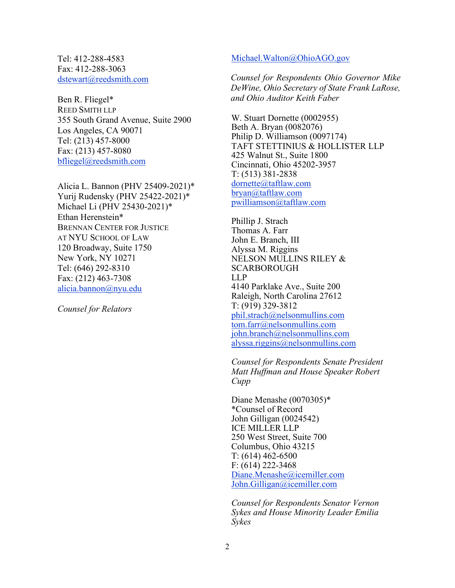Tel: 412-288-4583 Fax: 412-288-3063 [dstewart@reedsmith.com](mailto:dstewart@reedsmith.com)

Ben R. Fliegel\* REED SMITH LLP 355 South Grand Avenue, Suite 2900 Los Angeles, CA 90071 Tel: (213) 457-8000 Fax: (213) 457-8080 [bfliegel@reedsmith.com](mailto:bfliegel@reedsmith.com)

Alicia L. Bannon (PHV 25409-2021)\* Yurij Rudensky (PHV 25422-2021)\* Michael Li (PHV 25430-2021)\* Ethan Herenstein\* BRENNAN CENTER FOR JUSTICE AT NYU SCHOOL OF LAW 120 Broadway, Suite 1750 New York, NY 10271 Tel: (646) 292-8310 Fax: (212) 463-7308 [alicia.bannon@nyu.edu](mailto:alicia.bannon@nyu.edu)

*Counsel for Relators*

#### [Michael.Walton@OhioAGO.gov](mailto:Michael.Walton@OhioAGO.gov)

*Counsel for Respondents Ohio Governor Mike DeWine, Ohio Secretary of State Frank LaRose, and Ohio Auditor Keith Faber* 

W. Stuart Dornette (0002955) Beth A. Bryan (0082076) Philip D. Williamson (0097174) TAFT STETTINIUS & HOLLISTER LLP 425 Walnut St., Suite 1800 Cincinnati, Ohio 45202-3957 T: (513) 381-2838 [dornette@taftlaw.com](mailto:dornette@taftlaw.com)  [bryan@taftlaw.com](mailto:bryan@taftlaw.com)  [pwilliamson@taftlaw.com](mailto:pwilliamson@taftlaw.com) 

Phillip J. Strach Thomas A. Farr John E. Branch, III Alyssa M. Riggins NELSON MULLINS RILEY & SCARBOROUGH LLP 4140 Parklake Ave., Suite 200 Raleigh, North Carolina 27612 T: (919) 329-3812 [phil.strach@nelsonmullins.com](mailto:phil.strach@nelsonmullins.com)  [tom.farr@nelsonmullins.com](mailto:tom.farr@nelsonmullins.com)  [john.branch@nelsonmullins.com](mailto:john.branch@nelsonmullins.com)  [alyssa.riggins@nelsonmullins.com](mailto:alyssa.riggins@nelsonmullins.com) 

*Counsel for Respondents Senate President Matt Huffman and House Speaker Robert Cupp* 

Diane Menashe (0070305)\* \*Counsel of Record John Gilligan (0024542) ICE MILLER LLP 250 West Street, Suite 700 Columbus, Ohio 43215 T: (614) 462-6500 F: (614) 222-3468 [Diane.Menashe@icemiller.com](mailto:Diane.Menashe@icemiller.com)  [John.Gilligan@icemiller.com](mailto:John.Gilligan@icemiller.com)

*Counsel for Respondents Senator Vernon Sykes and House Minority Leader Emilia Sykes*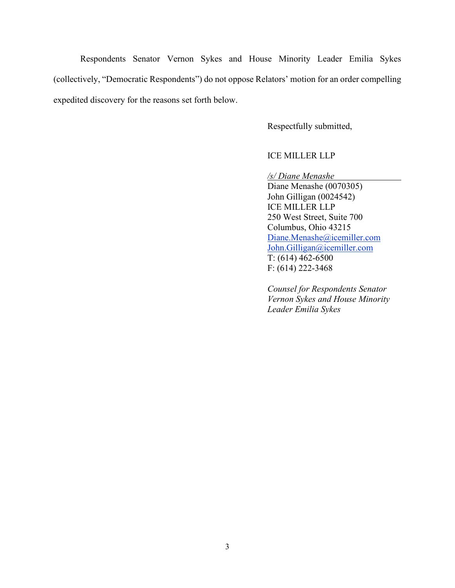Respondents Senator Vernon Sykes and House Minority Leader Emilia Sykes (collectively, "Democratic Respondents") do not oppose Relators' motion for an order compelling expedited discovery for the reasons set forth below.

Respectfully submitted,

## ICE MILLER LLP

*/s/ Diane Menashe* Diane Menashe (0070305) John Gilligan (0024542) ICE MILLER LLP

250 West Street, Suite 700 Columbus, Ohio 43215 [Diane.Menashe@icemiller.com](mailto:Diane.Menashe@icemiller.com)  [John.Gilligan@icemiller.com](mailto:John.Gilligan@icemiller.com)  T: (614) 462-6500 F: (614) 222-3468

*Counsel for Respondents Senator Vernon Sykes and House Minority Leader Emilia Sykes*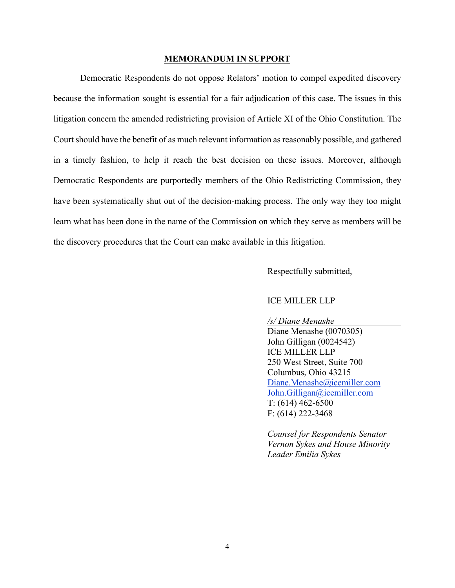#### **MEMORANDUM IN SUPPORT**

Democratic Respondents do not oppose Relators' motion to compel expedited discovery because the information sought is essential for a fair adjudication of this case. The issues in this litigation concern the amended redistricting provision of Article XI of the Ohio Constitution. The Court should have the benefit of as much relevant information as reasonably possible, and gathered in a timely fashion, to help it reach the best decision on these issues. Moreover, although Democratic Respondents are purportedly members of the Ohio Redistricting Commission, they have been systematically shut out of the decision-making process. The only way they too might learn what has been done in the name of the Commission on which they serve as members will be the discovery procedures that the Court can make available in this litigation.

Respectfully submitted,

#### ICE MILLER LLP

*/s/ Diane Menashe*

Diane Menashe (0070305) John Gilligan (0024542) ICE MILLER LLP 250 West Street, Suite 700 Columbus, Ohio 43215 [Diane.Menashe@icemiller.com](mailto:Diane.Menashe@icemiller.com)  [John.Gilligan@icemiller.com](mailto:John.Gilligan@icemiller.com) T: (614) 462-6500 F: (614) 222-3468

*Counsel for Respondents Senator Vernon Sykes and House Minority Leader Emilia Sykes*